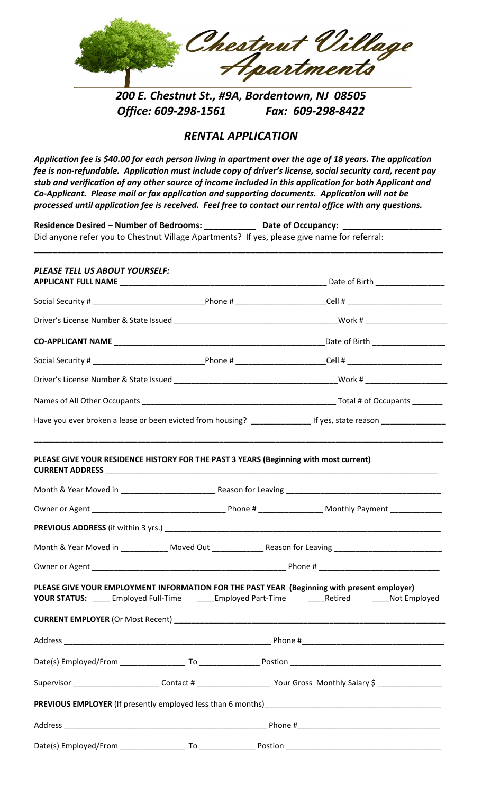

*200 E. Chestnut St., #9A, Bordentown, NJ 08505 Office: 609‐298‐1561 Fax: 609‐298‐8422*

## *RENTAL APPLICATION*

Application fee is \$40.00 for each person living in apartment over the age of 18 years. The application fee is non-refundable. Application must include copy of driver's license, social security card, recent pay stub and verification of any other source of income included in this application for both Applicant and *Co‐Applicant. Please mail or fax application and supporting documents. Application will not be processed until application fee is received. Feel free to contact our rental office with any questions.*

|                                |  | Residence Desired - Number of Bedrooms: Late of Occupancy: Late of Occupancy: Late of Occupancy: Late of Occupancy:<br>Did anyone refer you to Chestnut Village Apartments? If yes, please give name for referral: |  |  |
|--------------------------------|--|--------------------------------------------------------------------------------------------------------------------------------------------------------------------------------------------------------------------|--|--|
| PLEASE TELL US ABOUT YOURSELF: |  |                                                                                                                                                                                                                    |  |  |
|                                |  |                                                                                                                                                                                                                    |  |  |
|                                |  |                                                                                                                                                                                                                    |  |  |
|                                |  |                                                                                                                                                                                                                    |  |  |
|                                |  |                                                                                                                                                                                                                    |  |  |
|                                |  |                                                                                                                                                                                                                    |  |  |
|                                |  |                                                                                                                                                                                                                    |  |  |
|                                |  | Have you ever broken a lease or been evicted from housing? ____________________If yes, state reason ________________                                                                                               |  |  |
|                                |  |                                                                                                                                                                                                                    |  |  |
|                                |  |                                                                                                                                                                                                                    |  |  |
|                                |  |                                                                                                                                                                                                                    |  |  |
|                                |  | Month & Year Moved in _____________ Moved Out _______________ Reason for Leaving ____________________________                                                                                                      |  |  |
|                                |  | PLEASE GIVE YOUR EMPLOYMENT INFORMATION FOR THE PAST YEAR (Beginning with present employer)<br>YOUR STATUS: _____ Employed Full-Time _______ Employed Part-Time _______Retired _______Not Employed                 |  |  |
|                                |  |                                                                                                                                                                                                                    |  |  |
|                                |  |                                                                                                                                                                                                                    |  |  |
|                                |  | Supervisor ___________________________Contact # __________________________Your Gross Monthly Salary \$ _______________                                                                                             |  |  |
|                                |  |                                                                                                                                                                                                                    |  |  |
|                                |  |                                                                                                                                                                                                                    |  |  |
|                                |  |                                                                                                                                                                                                                    |  |  |